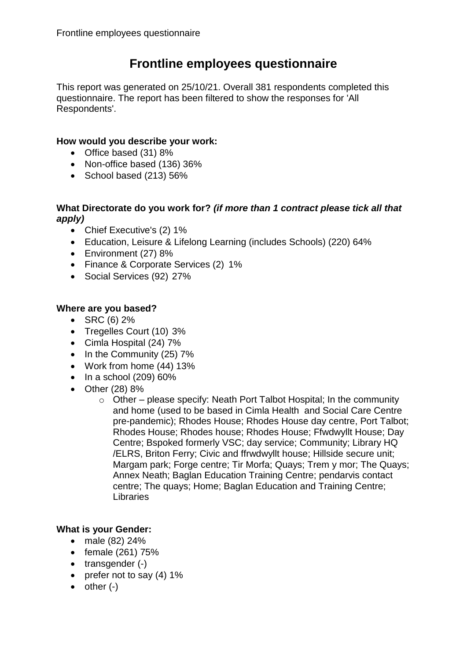# **Frontline employees questionnaire**

This report was generated on 25/10/21. Overall 381 respondents completed this questionnaire. The report has been filtered to show the responses for 'All Respondents'.

## **How would you describe your work:**

- Office based (31) 8%
- Non-office based (136) 36%
- $\bullet$  School based (213) 56%

## **What Directorate do you work for?** *(if more than 1 contract please tick all that apply)*

- Chief Executive's (2) 1%
- Education, Leisure & Lifelong Learning (includes Schools) (220) 64%
- Environment (27) 8%
- Finance & Corporate Services (2) 1%
- Social Services (92) 27%

# **Where are you based?**

- $\bullet$  SRC (6) 2%
- Tregelles Court (10) 3%
- Cimla Hospital (24) 7%
- $\bullet$  In the Community (25) 7%
- Work from home (44) 13%
- $\bullet$  In a school (209) 60%
- Other (28) 8%
	- o Other please specify: Neath Port Talbot Hospital; In the community and home (used to be based in Cimla Health and Social Care Centre pre-pandemic); Rhodes House; Rhodes House day centre, Port Talbot; Rhodes House; Rhodes house; Rhodes House; Ffwdwyllt House; Day Centre; Bspoked formerly VSC; day service; Community; Library HQ /ELRS, Briton Ferry; Civic and ffrwdwyllt house; Hillside secure unit; Margam park; Forge centre; Tir Morfa; Quays; Trem y mor; The Quays; Annex Neath; Baglan Education Training Centre; pendarvis contact centre; The quays; Home; Baglan Education and Training Centre; **Libraries**

# **What is your Gender:**

- male (82) 24%
- $\bullet$  female (261) 75%
- $\bullet$  transgender  $(-)$
- prefer not to say  $(4)$  1%
- $\bullet$  other  $(-)$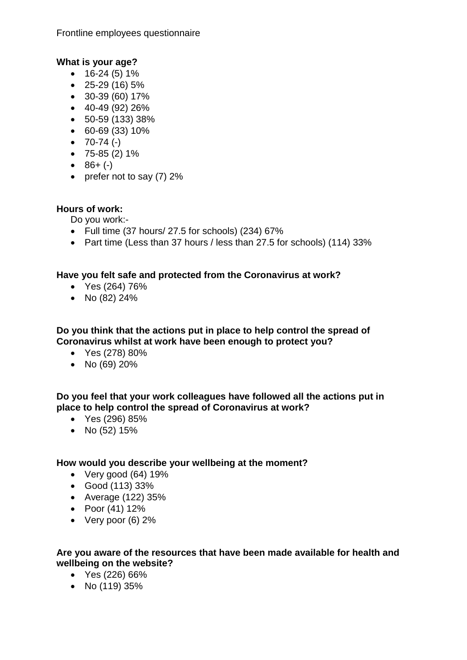Frontline employees questionnaire

# **What is your age?**

- $\bullet$  16-24 (5) 1%
- $\bullet$  25-29 (16) 5%
- 30-39 (60) 17%
- $-40-49(92)26%$
- 50-59 (133) 38%
- 60-69 (33) 10%
- $\bullet$  70-74 (-)
- $\bullet$  75-85 (2) 1%
- $-86+ (-)$
- prefer not to say  $(7)$  2%

# **Hours of work:**

Do you work:-

- $\bullet$  Full time (37 hours/ 27.5 for schools) (234) 67%
- Part time (Less than 37 hours / less than 27.5 for schools) (114) 33%

#### **Have you felt safe and protected from the Coronavirus at work?**

- Yes (264) 76%
- No  $(82)$  24%

**Do you think that the actions put in place to help control the spread of Coronavirus whilst at work have been enough to protect you?**

- Yes (278) 80%
- No (69) 20%

**Do you feel that your work colleagues have followed all the actions put in place to help control the spread of Coronavirus at work?**

- Yes (296) 85%
- No  $(52)$  15%

## **How would you describe your wellbeing at the moment?**

- $\bullet$  Very good (64) 19%
- Good (113) 33%
- Average (122) 35%
- Poor  $(41)$  12%
- Very poor (6) 2%

#### **Are you aware of the resources that have been made available for health and wellbeing on the website?**

- Yes (226) 66%
- No (119) 35%